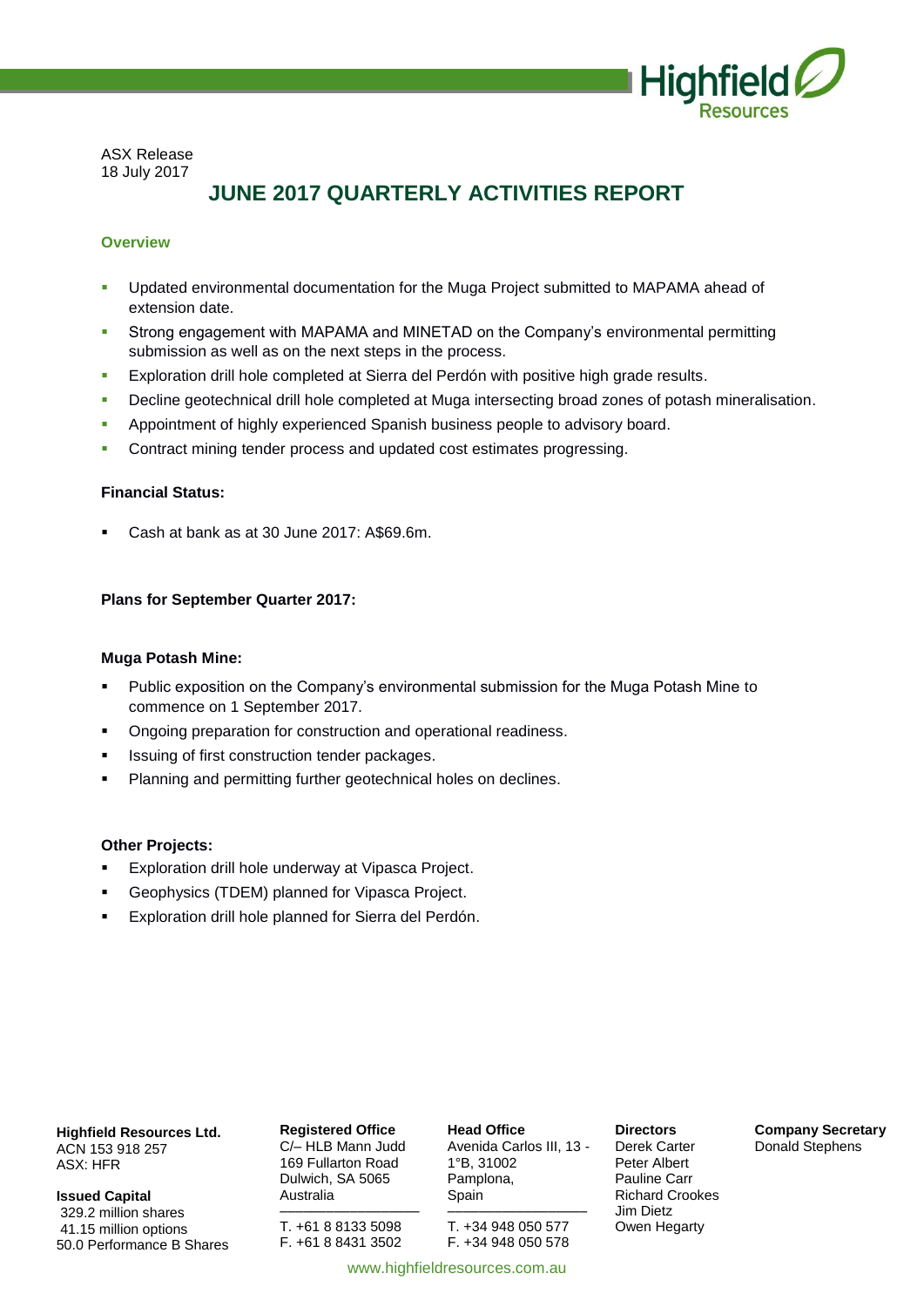

ASX Release 18 July 2017

# **JUNE 2017 QUARTERLY ACTIVITIES REPORT**

# **Overview**

- Updated environmental documentation for the Muga Project submitted to MAPAMA ahead of extension date.
- Strong engagement with MAPAMA and MINETAD on the Company's environmental permitting submission as well as on the next steps in the process.
- **Exploration drill hole completed at Sierra del Perdón with positive high grade results.**
- Decline geotechnical drill hole completed at Muga intersecting broad zones of potash mineralisation.
- Appointment of highly experienced Spanish business people to advisory board.
- **Contract mining tender process and updated cost estimates progressing.**

# **Financial Status:**

Cash at bank as at 30 June 2017: A\$69.6m.

# **Plans for September Quarter 2017:**

# **Muga Potash Mine:**

- Public exposition on the Company's environmental submission for the Muga Potash Mine to commence on 1 September 2017.
- Ongoing preparation for construction and operational readiness.
- Issuing of first construction tender packages.
- **Planning and permitting further geotechnical holes on declines.**

# **Other Projects:**

- Exploration drill hole underway at Vipasca Project.
- Geophysics (TDEM) planned for Vipasca Project.
- Exploration drill hole planned for Sierra del Perdón.

**Highfield Resources Ltd.** ACN 153 918 257 ASX: HFR

**Issued Capital** 329.2 million shares 41.15 million options 50.0 Performance B Shares

**Registered Office** C/– HLB Mann Judd 169 Fullarton Road Dulwich, SA 5065 Australia

–––––––––––––––––– T. +61 8 8133 5098 F. +61 8 8431 3502

**Head Office** Avenida Carlos III, 13 - 1°B, 31002 Pamplona, Spain ––––––––––––––––––

T. +34 948 050 577 F. +34 948 050 578 **Directors** Derek Carter Peter Albert Pauline Carr Richard Crookes Jim Dietz Owen Hegarty

**Company Secretary** Donald Stephens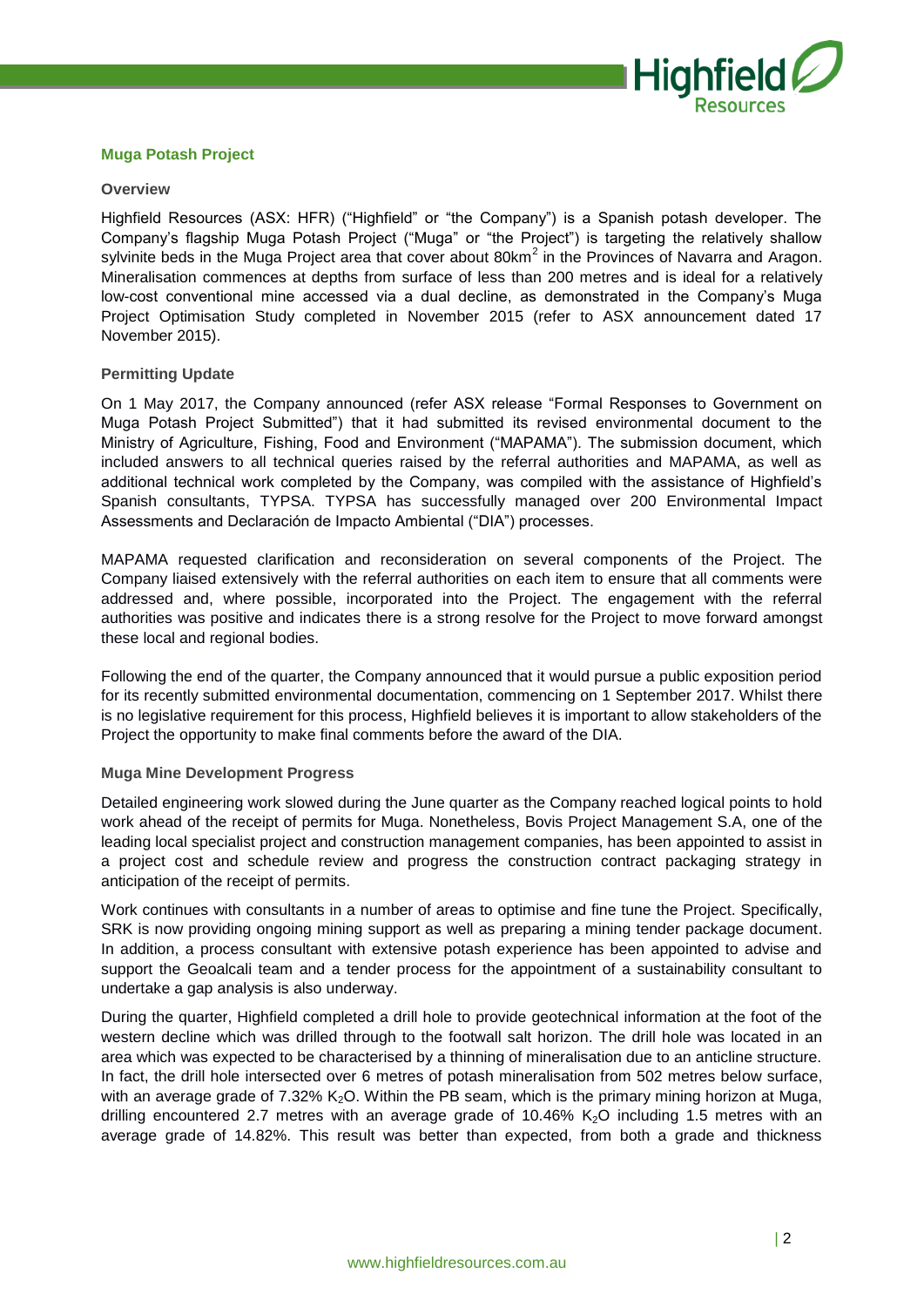

# **Muga Potash Project**

#### **Overview**

Highfield Resources (ASX: HFR) ("Highfield" or "the Company") is a Spanish potash developer. The Company's flagship Muga Potash Project ("Muga" or "the Project") is targeting the relatively shallow sylvinite beds in the Muga Project area that cover about 80km<sup>2</sup> in the Provinces of Navarra and Aragon. Mineralisation commences at depths from surface of less than 200 metres and is ideal for a relatively low-cost conventional mine accessed via a dual decline, as demonstrated in the Company's Muga Project Optimisation Study completed in November 2015 (refer to ASX announcement dated 17 November 2015).

#### **Permitting Update**

On 1 May 2017, the Company announced (refer ASX release "Formal Responses to Government on Muga Potash Project Submitted") that it had submitted its revised environmental document to the Ministry of Agriculture, Fishing, Food and Environment ("MAPAMA"). The submission document, which included answers to all technical queries raised by the referral authorities and MAPAMA, as well as additional technical work completed by the Company, was compiled with the assistance of Highfield's Spanish consultants, TYPSA. TYPSA has successfully managed over 200 Environmental Impact Assessments and Declaración de Impacto Ambiental ("DIA") processes.

MAPAMA requested clarification and reconsideration on several components of the Project. The Company liaised extensively with the referral authorities on each item to ensure that all comments were addressed and, where possible, incorporated into the Project. The engagement with the referral authorities was positive and indicates there is a strong resolve for the Project to move forward amongst these local and regional bodies.

Following the end of the quarter, the Company announced that it would pursue a public exposition period for its recently submitted environmental documentation, commencing on 1 September 2017. Whilst there is no legislative requirement for this process, Highfield believes it is important to allow stakeholders of the Project the opportunity to make final comments before the award of the DIA.

#### **Muga Mine Development Progress**

Detailed engineering work slowed during the June quarter as the Company reached logical points to hold work ahead of the receipt of permits for Muga. Nonetheless, Bovis Project Management S.A, one of the leading local specialist project and construction management companies, has been appointed to assist in a project cost and schedule review and progress the construction contract packaging strategy in anticipation of the receipt of permits.

Work continues with consultants in a number of areas to optimise and fine tune the Project. Specifically, SRK is now providing ongoing mining support as well as preparing a mining tender package document. In addition, a process consultant with extensive potash experience has been appointed to advise and support the Geoalcali team and a tender process for the appointment of a sustainability consultant to undertake a gap analysis is also underway.

During the quarter, Highfield completed a drill hole to provide geotechnical information at the foot of the western decline which was drilled through to the footwall salt horizon. The drill hole was located in an area which was expected to be characterised by a thinning of mineralisation due to an anticline structure. In fact, the drill hole intersected over 6 metres of potash mineralisation from 502 metres below surface, with an average grade of  $7.32\%$  K<sub>2</sub>O. Within the PB seam, which is the primary mining horizon at Muga, drilling encountered 2.7 metres with an average grade of 10.46%  $K<sub>2</sub>O$  including 1.5 metres with an average grade of 14.82%. This result was better than expected, from both a grade and thickness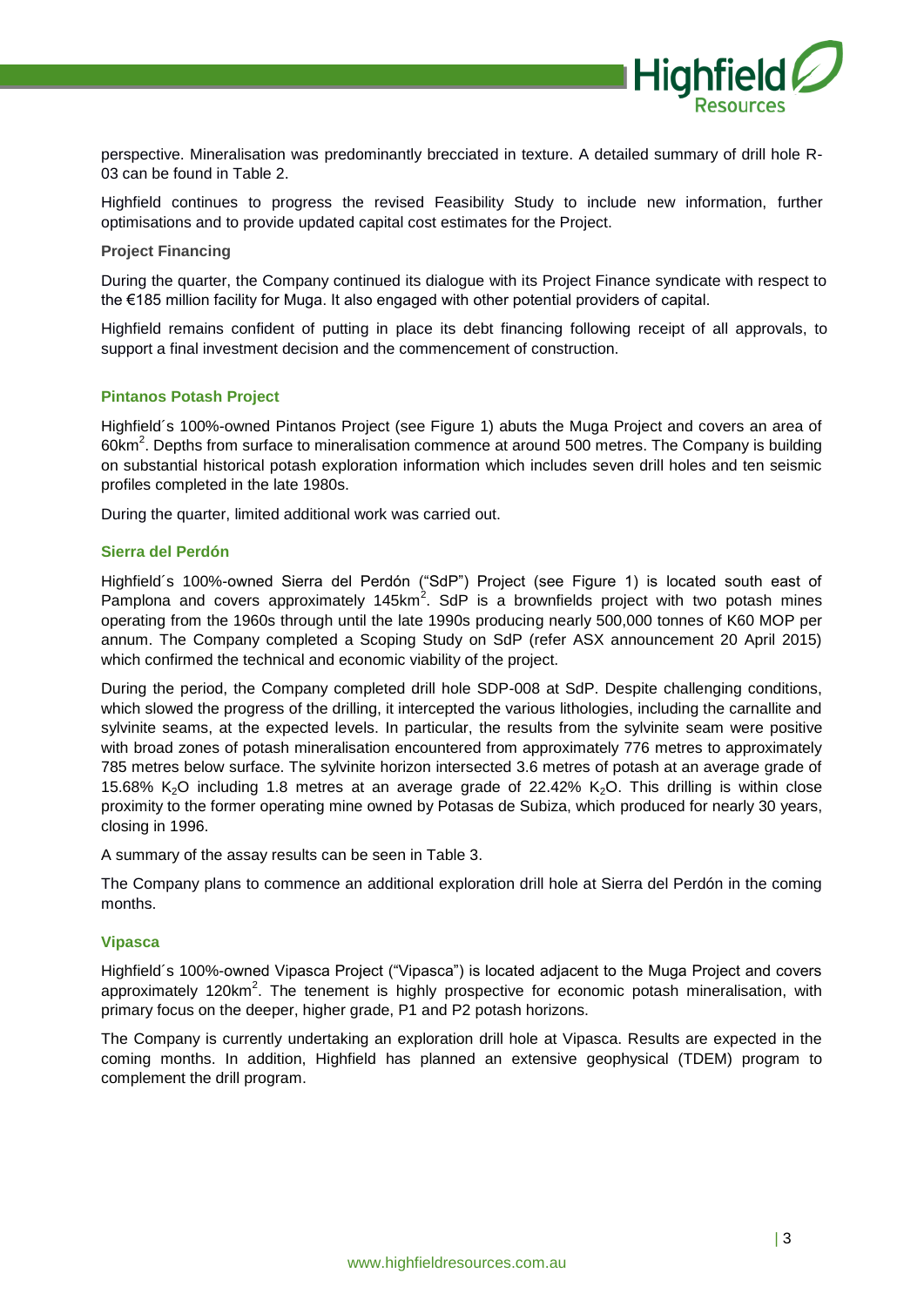

perspective. Mineralisation was predominantly brecciated in texture. A detailed summary of drill hole R-03 can be found in Table 2.

Highfield continues to progress the revised Feasibility Study to include new information, further optimisations and to provide updated capital cost estimates for the Project.

**Project Financing** 

During the quarter, the Company continued its dialogue with its Project Finance syndicate with respect to the €185 million facility for Muga. It also engaged with other potential providers of capital.

Highfield remains confident of putting in place its debt financing following receipt of all approvals, to support a final investment decision and the commencement of construction.

#### **Pintanos Potash Project**

Highfield´s 100%-owned Pintanos Project (see Figure 1) abuts the Muga Project and covers an area of 60km<sup>2</sup>. Depths from surface to mineralisation commence at around 500 metres. The Company is building on substantial historical potash exploration information which includes seven drill holes and ten seismic profiles completed in the late 1980s.

During the quarter, limited additional work was carried out.

#### **Sierra del Perdón**

Highfield´s 100%-owned Sierra del Perdón ("SdP") Project (see Figure 1) is located south east of Pamplona and covers approximately 145km<sup>2</sup>. SdP is a brownfields project with two potash mines operating from the 1960s through until the late 1990s producing nearly 500,000 tonnes of K60 MOP per annum. The Company completed a Scoping Study on SdP (refer ASX announcement 20 April 2015) which confirmed the technical and economic viability of the project.

During the period, the Company completed drill hole SDP-008 at SdP. Despite challenging conditions, which slowed the progress of the drilling, it intercepted the various lithologies, including the carnallite and sylvinite seams, at the expected levels. In particular, the results from the sylvinite seam were positive with broad zones of potash mineralisation encountered from approximately 776 metres to approximately 785 metres below surface. The sylvinite horizon intersected 3.6 metres of potash at an average grade of 15.68%  $K_2O$  including 1.8 metres at an average grade of 22.42%  $K_2O$ . This drilling is within close proximity to the former operating mine owned by Potasas de Subiza, which produced for nearly 30 years, closing in 1996.

A summary of the assay results can be seen in Table 3.

The Company plans to commence an additional exploration drill hole at Sierra del Perdón in the coming months.

#### **Vipasca**

Highfield´s 100%-owned Vipasca Project ("Vipasca") is located adjacent to the Muga Project and covers approximately 120km<sup>2</sup>. The tenement is highly prospective for economic potash mineralisation, with primary focus on the deeper, higher grade, P1 and P2 potash horizons.

The Company is currently undertaking an exploration drill hole at Vipasca. Results are expected in the coming months. In addition, Highfield has planned an extensive geophysical (TDEM) program to complement the drill program.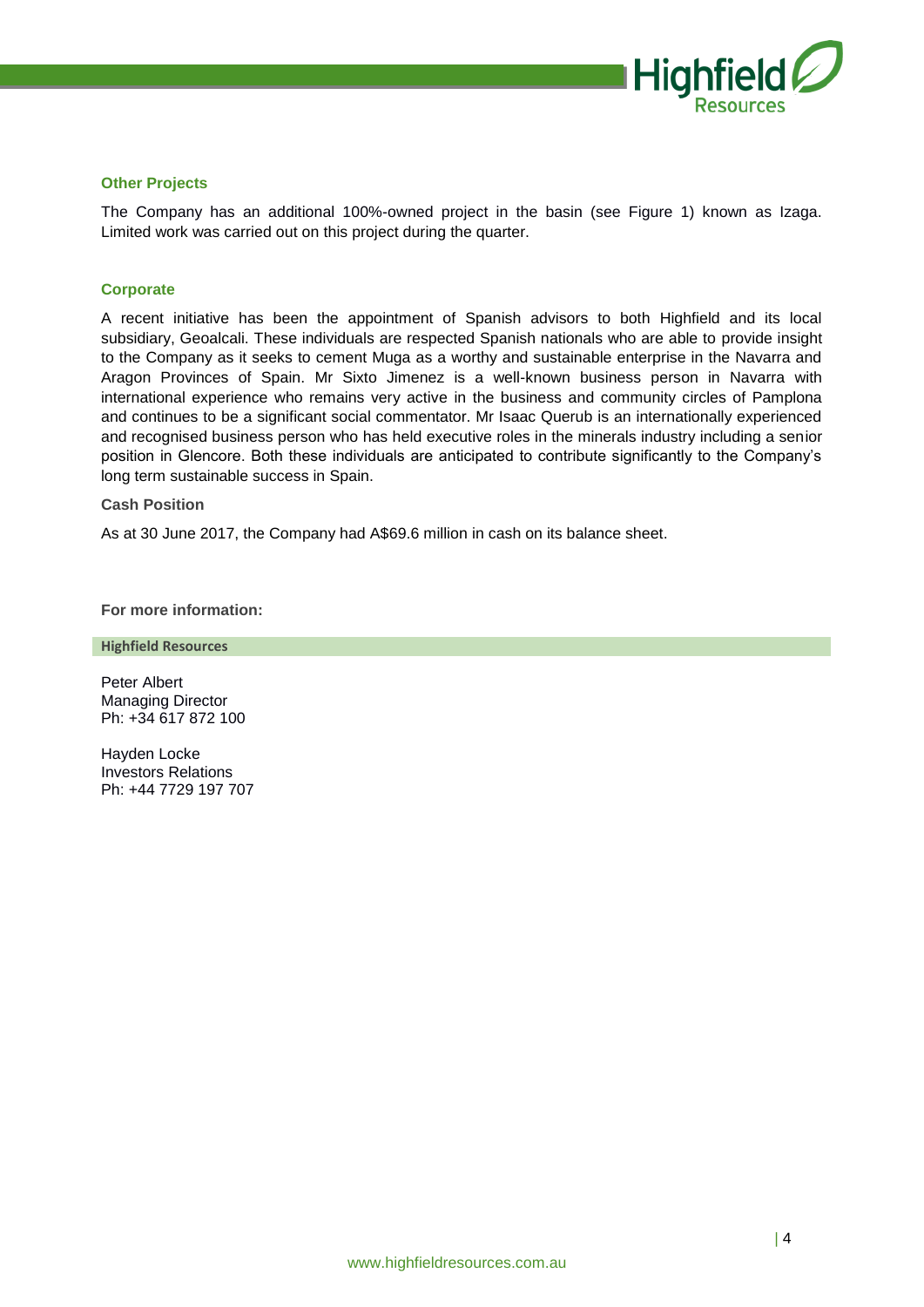

#### **Other Projects**

The Company has an additional 100%-owned project in the basin (see Figure 1) known as Izaga. Limited work was carried out on this project during the quarter.

# **Corporate**

A recent initiative has been the appointment of Spanish advisors to both Highfield and its local subsidiary, Geoalcali. These individuals are respected Spanish nationals who are able to provide insight to the Company as it seeks to cement Muga as a worthy and sustainable enterprise in the Navarra and Aragon Provinces of Spain. Mr Sixto Jimenez is a well-known business person in Navarra with international experience who remains very active in the business and community circles of Pamplona and continues to be a significant social commentator. Mr Isaac Querub is an internationally experienced and recognised business person who has held executive roles in the minerals industry including a senior position in Glencore. Both these individuals are anticipated to contribute significantly to the Company's long term sustainable success in Spain.

#### **Cash Position**

As at 30 June 2017, the Company had A\$69.6 million in cash on its balance sheet.

**For more information:**

**Highfield Resources**

Peter Albert Managing Director Ph: +34 617 872 100

Hayden Locke Investors Relations Ph: +44 7729 197 707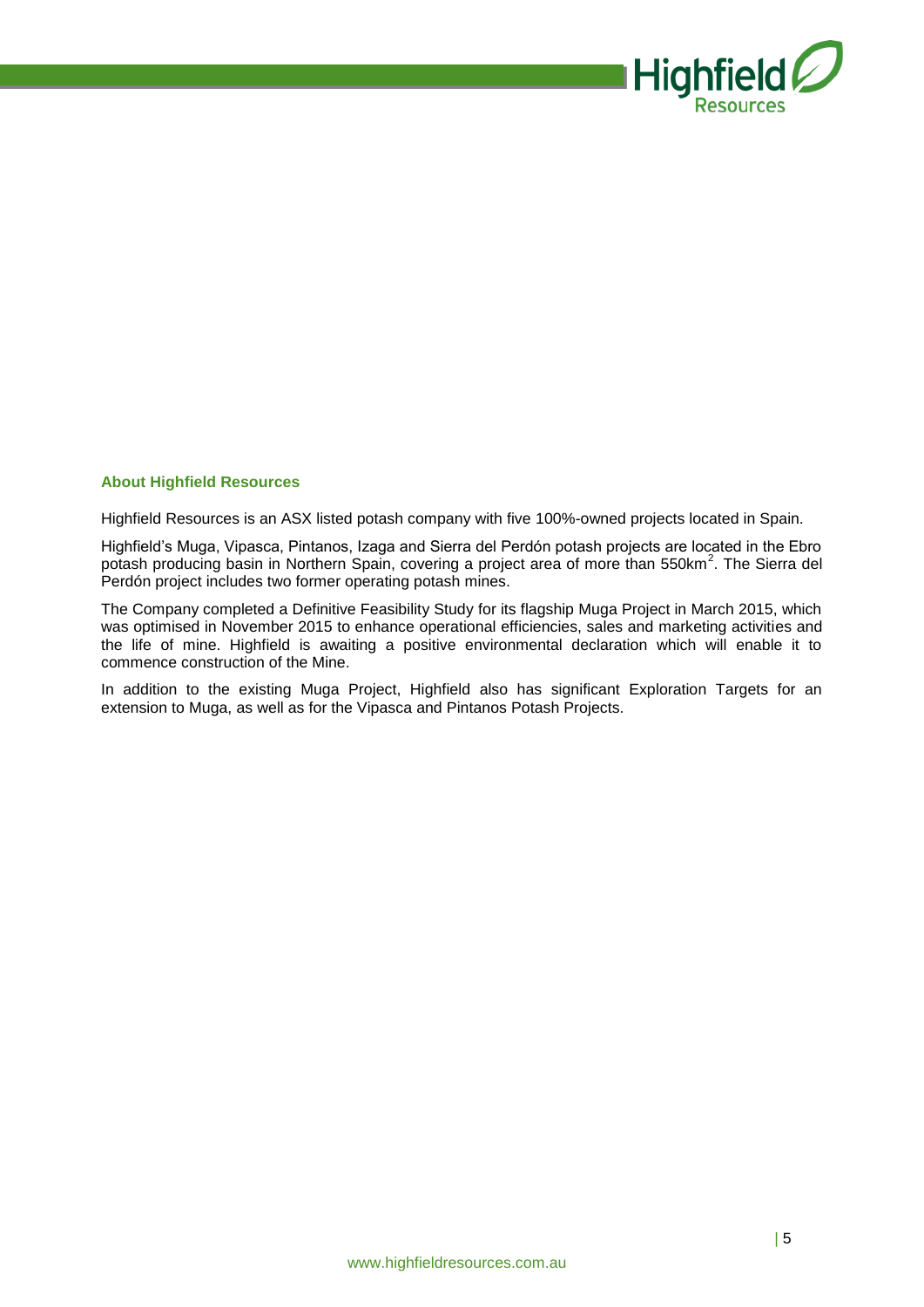

# **About Highfield Resources**

Highfield Resources is an ASX listed potash company with five 100%-owned projects located in Spain.

Highfield's Muga, Vipasca, Pintanos, Izaga and Sierra del Perdón potash projects are located in the Ebro potash producing basin in Northern Spain, covering a project area of more than 550km<sup>2</sup>. The Sierra del Perdón project includes two former operating potash mines.

The Company completed a Definitive Feasibility Study for its flagship Muga Project in March 2015, which was optimised in November 2015 to enhance operational efficiencies, sales and marketing activities and the life of mine. Highfield is awaiting a positive environmental declaration which will enable it to commence construction of the Mine.

In addition to the existing Muga Project, Highfield also has significant Exploration Targets for an extension to Muga, as well as for the Vipasca and Pintanos Potash Projects.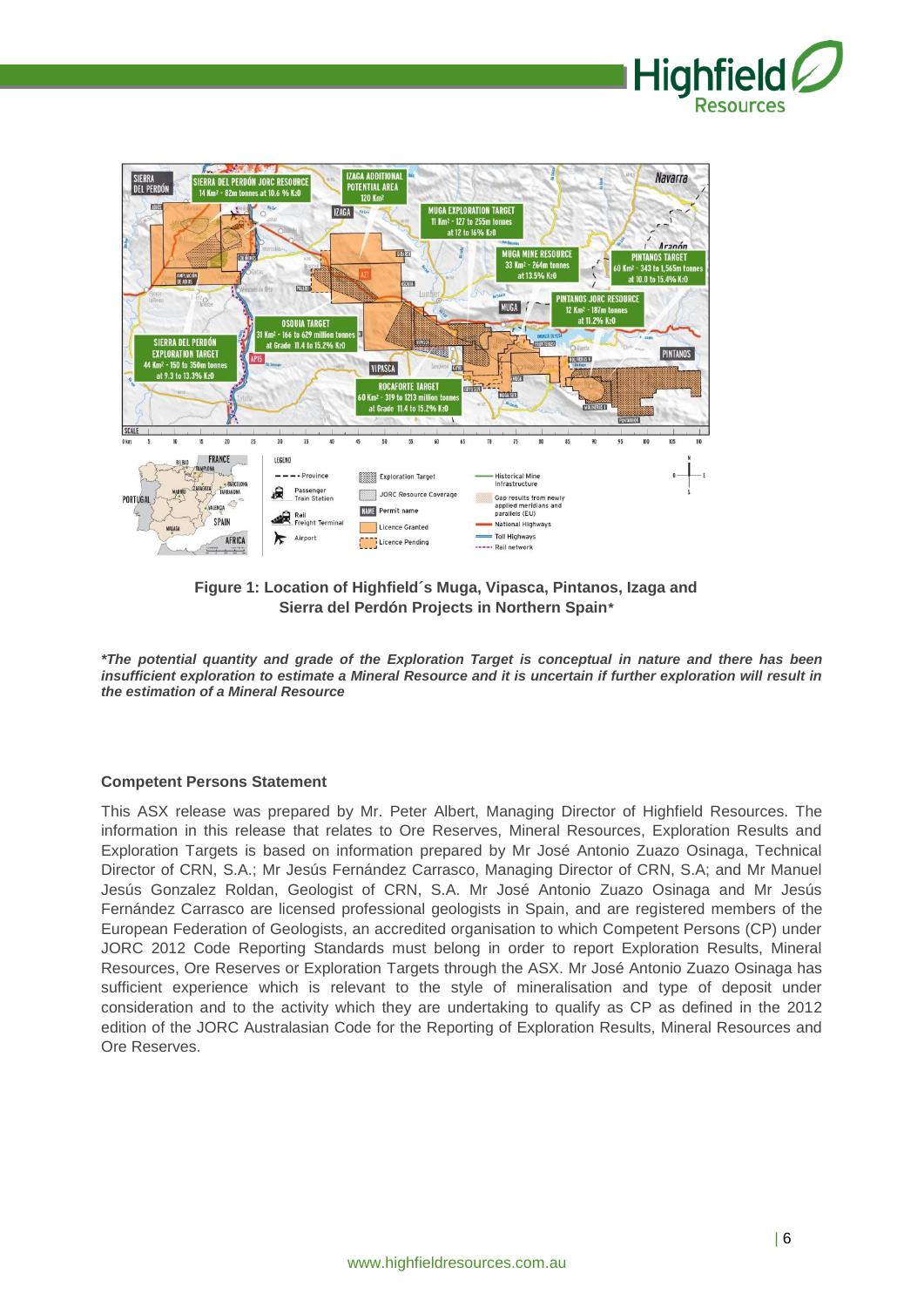



**Figure 1: Location of Highfield´s Muga, Vipasca, Pintanos, Izaga and Sierra del Perdón Projects in Northern Spain***\**

*\*The potential quantity and grade of the Exploration Target is conceptual in nature and there has been insufficient exploration to estimate a Mineral Resource and it is uncertain if further exploration will result in the estimation of a Mineral Resource*

# **Competent Persons Statement**

This ASX release was prepared by Mr. Peter Albert, Managing Director of Highfield Resources. The information in this release that relates to Ore Reserves, Mineral Resources, Exploration Results and Exploration Targets is based on information prepared by Mr José Antonio Zuazo Osinaga, Technical Director of CRN, S.A.; Mr Jesús Fernández Carrasco, Managing Director of CRN, S.A; and Mr Manuel Jesús Gonzalez Roldan, Geologist of CRN, S.A. Mr José Antonio Zuazo Osinaga and Mr Jesús Fernández Carrasco are licensed professional geologists in Spain, and are registered members of the European Federation of Geologists, an accredited organisation to which Competent Persons (CP) under JORC 2012 Code Reporting Standards must belong in order to report Exploration Results, Mineral Resources, Ore Reserves or Exploration Targets through the ASX. Mr José Antonio Zuazo Osinaga has sufficient experience which is relevant to the style of mineralisation and type of deposit under consideration and to the activity which they are undertaking to qualify as CP as defined in the 2012 edition of the JORC Australasian Code for the Reporting of Exploration Results, Mineral Resources and Ore Reserves.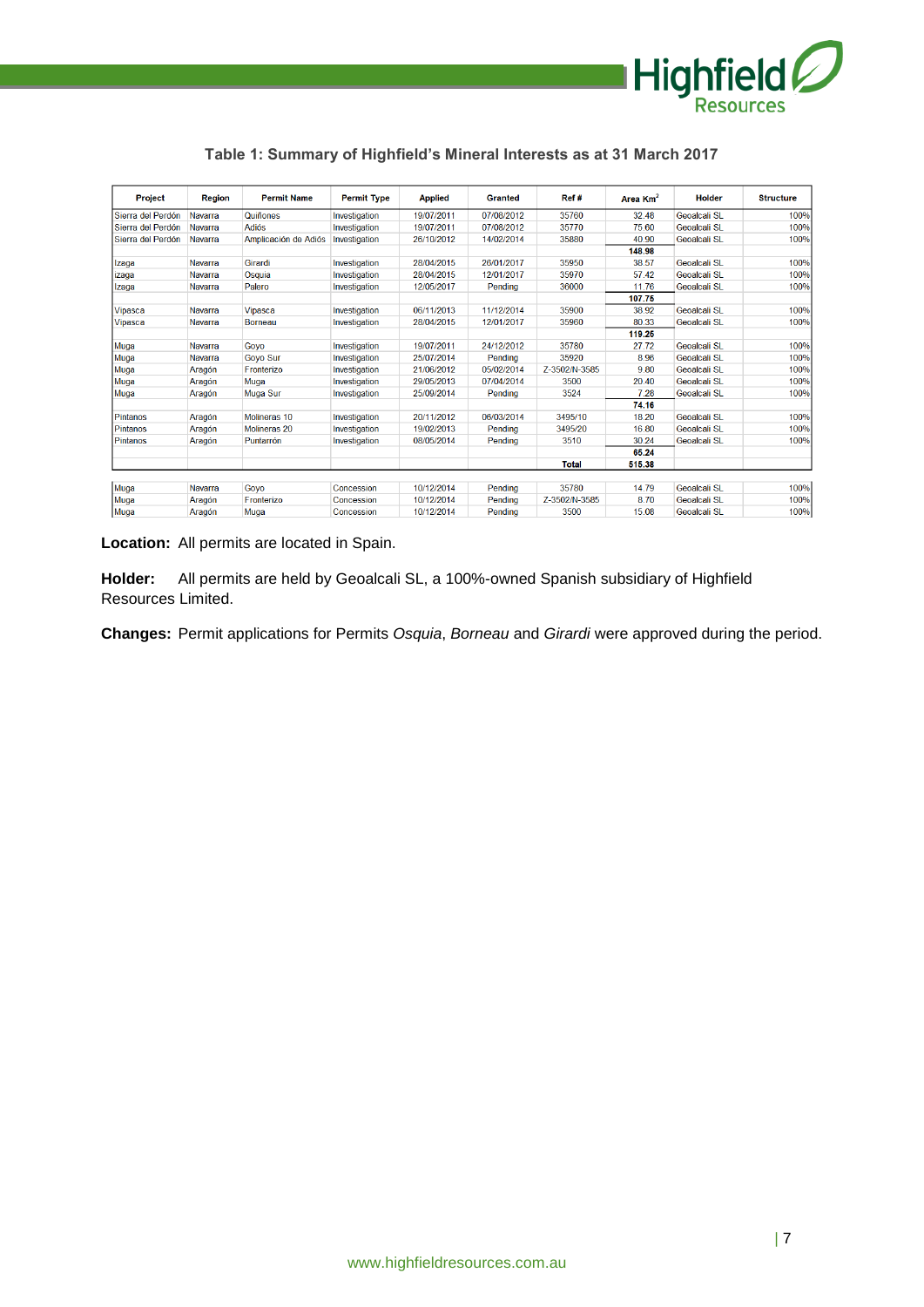

| <b>Project</b>    | <b>Region</b> | <b>Permit Name</b>      | <b>Permit Type</b> | <b>Applied</b> | <b>Granted</b> | Ref#          | Area $Km2$ | <b>Holder</b>       | <b>Structure</b> |
|-------------------|---------------|-------------------------|--------------------|----------------|----------------|---------------|------------|---------------------|------------------|
| Sierra del Perdón | Navarra       | Quiñones                | Investigation      | 19/07/2011     | 07/08/2012     | 35760         | 32.48      | <b>Geoalcali SL</b> | 100%             |
| Sierra del Perdón | Navarra       | <b>Adiós</b>            | Investigation      | 19/07/2011     | 07/08/2012     | 35770         | 75.60      | <b>Geoalcali SL</b> | 100%             |
| Sierra del Perdón | Navarra       | Amplicación de Adiós    | Investigation      | 26/10/2012     | 14/02/2014     | 35880         | 40.90      | Geoalcali SL        | 100%             |
|                   |               |                         |                    |                |                |               | 148.98     |                     |                  |
| Izaga             | Navarra       | Girardi                 | Investigation      | 28/04/2015     | 26/01/2017     | 35950         | 38.57      | Geoalcali SL        | 100%             |
| izaga             | Navarra       | Osquia                  | Investigation      | 28/04/2015     | 12/01/2017     | 35970         | 57.42      | Geoalcali SL        | 100%             |
| Izaga             | Navarra       | Palero                  | Investigation      | 12/05/2017     | Pending        | 36000         | 11.76      | <b>Geoalcali SL</b> | 100%             |
|                   |               |                         |                    |                |                |               | 107.75     |                     |                  |
| <b>Vipasca</b>    | Navarra       | Vipasca                 | Investigation      | 06/11/2013     | 11/12/2014     | 35900         | 38.92      | Geoalcali SL        | 100%             |
| Vipasca           | Navarra       | <b>Borneau</b>          | Investigation      | 28/04/2015     | 12/01/2017     | 35960         | 80.33      | <b>Geoalcali SL</b> | 100%             |
|                   |               |                         |                    |                |                |               | 119.25     |                     |                  |
| Muga              | Navarra       | Goyo                    | Investigation      | 19/07/2011     | 24/12/2012     | 35780         | 27.72      | <b>Geoalcali SL</b> | 100%             |
| Muga              | Navarra       | <b>Govo Sur</b>         | Investigation      | 25/07/2014     | Pending        | 35920         | 8.96       | Geoalcali SL        | 100%             |
| Muga              | Aragón        | Fronterizo              | Investigation      | 21/06/2012     | 05/02/2014     | Z-3502/N-3585 | 9.80       | <b>Geoalcali SL</b> | 100%             |
| Muga              | Aragón        | Muga                    | Investigation      | 29/05/2013     | 07/04/2014     | 3500          | 20.40      | Geoalcali SI        | 100%             |
| Muga              | Aragón        | Muga Sur                | Investigation      | 25/09/2014     | Pending        | 3524          | 7.28       | Geoalcali SL        | 100%             |
|                   |               |                         |                    |                |                |               | 74.16      |                     |                  |
| Pintanos          | Aragón        | Molineras <sub>10</sub> | Investigation      | 20/11/2012     | 06/03/2014     | 3495/10       | 18.20      | <b>Geoalcali SL</b> | 100%             |
| Pintanos          | Aragón        | Molineras 20            | Investigation      | 19/02/2013     | Pending        | 3495/20       | 16.80      | Geoalcali SL        | 100%             |
| <b>Pintanos</b>   | Aragón        | Puntarrón               | Investigation      | 08/05/2014     | Pending        | 3510          | 30.24      | <b>Geoalcali SL</b> | 100%             |
|                   |               |                         |                    |                |                |               | 65.24      |                     |                  |
|                   |               |                         |                    |                |                | <b>Total</b>  | 515.38     |                     |                  |
|                   |               |                         |                    |                |                |               |            |                     |                  |
| Muga              | Navarra       | Govo                    | Concession         | 10/12/2014     | Pendina        | 35780         | 14.79      | Geoalcali SL        | 100%             |
| Muga              | Aragón        | <b>Fronterizo</b>       | Concession         | 10/12/2014     | Pending        | Z-3502/N-3585 | 8.70       | Geoalcali SL        | 100%             |
| Muga              | Aragón        | Muga                    | Concession         | 10/12/2014     | Pending        | 3500          | 15.08      | Geoalcali SL        | 100%             |

**Table 1: Summary of Highfield's Mineral Interests as at 31 March 2017**

**Location:** All permits are located in Spain.

**Holder:** All permits are held by Geoalcali SL, a 100%-owned Spanish subsidiary of Highfield Resources Limited.

**Changes:** Permit applications for Permits *Osquia*, *Borneau* and *Girardi* were approved during the period.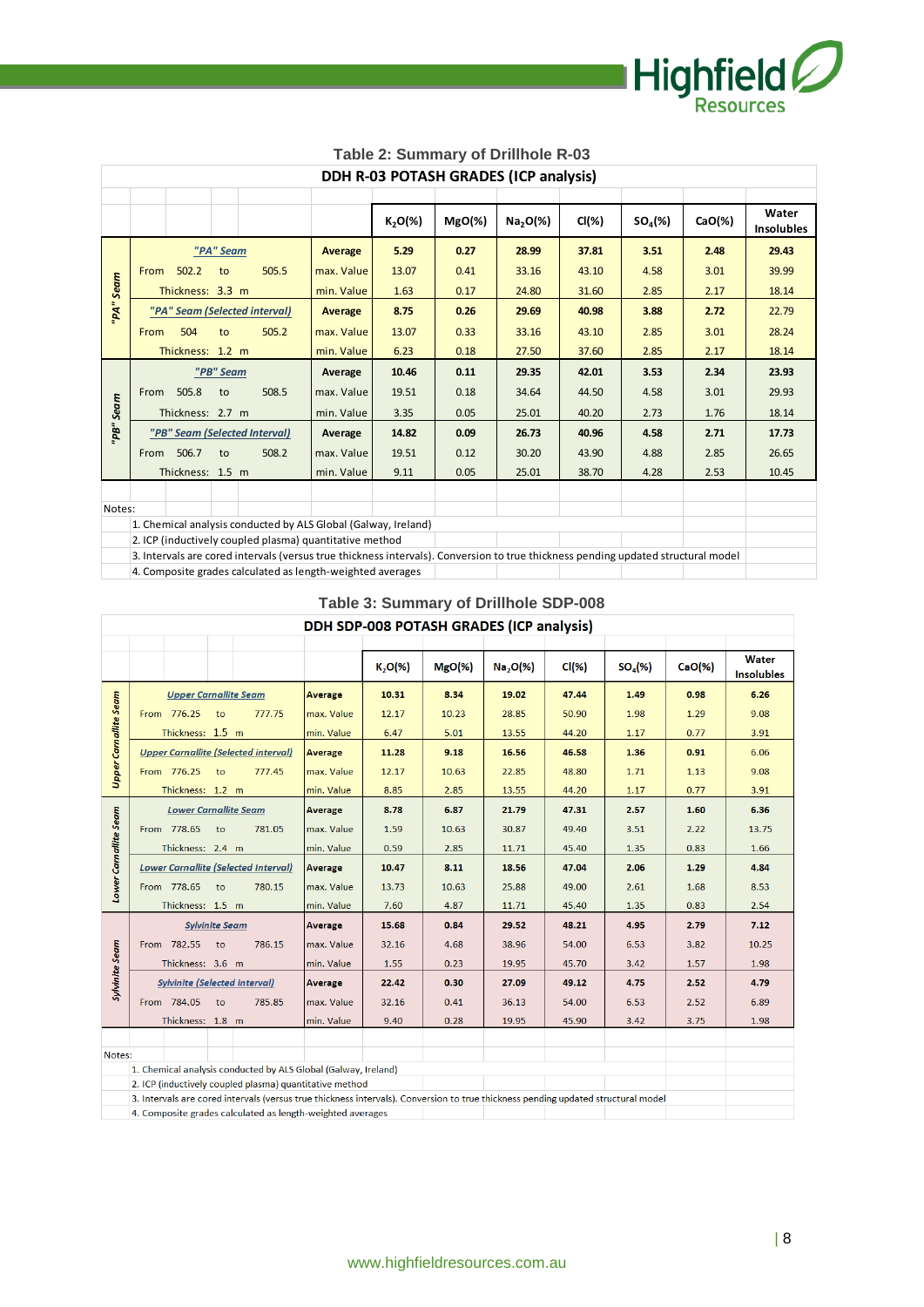

| Table 2: Summary of Drillhole R-03                         |      |                  |           |                               |                                                                                                                                   |            |           |                                       |          |                     |           |                            |
|------------------------------------------------------------|------|------------------|-----------|-------------------------------|-----------------------------------------------------------------------------------------------------------------------------------|------------|-----------|---------------------------------------|----------|---------------------|-----------|----------------------------|
|                                                            |      |                  |           |                               |                                                                                                                                   |            |           | DDH R-03 POTASH GRADES (ICP analysis) |          |                     |           |                            |
|                                                            |      |                  |           |                               |                                                                                                                                   | $K_2O(\%)$ | $MgO(\%)$ | Na <sub>2</sub> O( <sub>%</sub> )     | $Cl(\%)$ | SO <sub>4</sub> (%) | $CaO(\%)$ | Water<br><b>Insolubles</b> |
| "PA" Seam                                                  |      |                  | Average   | 5.29                          | 0.27                                                                                                                              | 28.99      | 37.81     | 3.51                                  | 2.48     | 29.43               |           |                            |
|                                                            | From | 502.2            | to        | 505.5                         | max. Value                                                                                                                        | 13.07      | 0.41      | 33.16                                 | 43.10    | 4.58                | 3.01      | 39.99                      |
|                                                            |      | Thickness: 3.3 m |           |                               | min. Value                                                                                                                        | 1.63       | 0.17      | 24.80                                 | 31.60    | 2.85                | 2.17      | 18.14                      |
| "PA" Seam                                                  |      |                  |           | "PA" Seam (Selected interval) | Average                                                                                                                           | 8.75       | 0.26      | 29.69                                 | 40.98    | 3.88                | 2.72      | 22.79                      |
|                                                            | From | 504              | to        | 505.2                         | max. Value                                                                                                                        | 13.07      | 0.33      | 33.16                                 | 43.10    | 2.85                | 3.01      | 28.24                      |
|                                                            |      | Thickness: 1.2 m |           |                               | min. Value                                                                                                                        | 6.23       | 0.18      | 27.50                                 | 37.60    | 2.85                | 2.17      | 18.14                      |
|                                                            |      |                  | "PB" Seam |                               | Average                                                                                                                           | 10.46      | 0.11      | 29.35                                 | 42.01    | 3.53                | 2.34      | 23.93                      |
|                                                            |      | From 505.8       | to        | 508.5                         | max. Value                                                                                                                        | 19.51      | 0.18      | 34.64                                 | 44.50    | 4.58                | 3.01      | 29.93                      |
|                                                            |      | Thickness: 2.7 m |           |                               | min. Value                                                                                                                        | 3.35       | 0.05      | 25.01                                 | 40.20    | 2.73                | 1.76      | 18.14                      |
| "PB" Seam                                                  |      |                  |           | "PB" Seam (Selected Interval) | Average                                                                                                                           | 14.82      | 0.09      | 26.73                                 | 40.96    | 4.58                | 2.71      | 17.73                      |
|                                                            | From | 506.7            | to        | 508.2                         | max. Value                                                                                                                        | 19.51      | 0.12      | 30.20                                 | 43.90    | 4.88                | 2.85      | 26.65                      |
|                                                            |      | Thickness: 1.5 m |           |                               | min. Value                                                                                                                        | 9.11       | 0.05      | 25.01                                 | 38.70    | 4.28                | 2.53      | 10.45                      |
|                                                            |      |                  |           |                               |                                                                                                                                   |            |           |                                       |          |                     |           |                            |
| Notes:                                                     |      |                  |           |                               |                                                                                                                                   |            |           |                                       |          |                     |           |                            |
|                                                            |      |                  |           |                               | 1. Chemical analysis conducted by ALS Global (Galway, Ireland)                                                                    |            |           |                                       |          |                     |           |                            |
|                                                            |      |                  |           |                               | 2. ICP (inductively coupled plasma) quantitative method                                                                           |            |           |                                       |          |                     |           |                            |
|                                                            |      |                  |           |                               | 3. Intervals are cored intervals (versus true thickness intervals). Conversion to true thickness pending updated structural model |            |           |                                       |          |                     |           |                            |
| 4. Composite grades calculated as length-weighted averages |      |                  |           |                               |                                                                                                                                   |            |           |                                       |          |                     |           |                            |

**Table 3: Summary of Drillhole SDP-008** DDH SDP-008 POTASH GRADES (ICP analysis)

|                              |                                                                                                                                   |                | $K_2O(\%)$ | $MgO(\%)$         | Na, O(%) | Cl(X) | $SO_4(\%)$ | $CaO(\%)$         | <b>Water</b><br><b>Insolubles</b> |
|------------------------------|-----------------------------------------------------------------------------------------------------------------------------------|----------------|------------|-------------------|----------|-------|------------|-------------------|-----------------------------------|
|                              | <b>Upper Carnallite Seam</b>                                                                                                      | <b>Average</b> | 10.31      | 8.34              | 19.02    | 47.44 | 1.49       | 0.98              | 6.26                              |
|                              | From 776.25<br>to<br>777.75                                                                                                       | max. Value     | 12.17      | 10.23             | 28.85    | 50.90 | 1.98       | 1.29              | 9.08                              |
|                              | Thickness: 1.5 m                                                                                                                  | min. Value     | 6.47       | 5.01              | 13.55    | 44.20 | 1.17       | 0.77              | 3.91                              |
| <b>Upper Carnallite Seam</b> | <b>Upper Carnallite (Selected interval)</b>                                                                                       | <b>Average</b> | 11.28      | 9.18              | 16.56    | 46.58 | 1.36       | 0.91              | 6.06                              |
|                              | From 776.25 to<br>777.45                                                                                                          | max. Value     | 12.17      | 10.63             | 22.85    | 48.80 | 1.71       | 1.13              | 9.08                              |
|                              | Thickness: 1.2 m                                                                                                                  | min. Value     | 8.85       | 2.85              | 13.55    | 44.20 | 1.17       | 0.77              | 3.91                              |
|                              | <b>Lower Carnallite Seam</b>                                                                                                      | <b>Average</b> | 8.78       | 6.87              | 21.79    | 47.31 | 2.57       | 1.60              | 6.36                              |
|                              | From 778.65<br>to<br>781.05                                                                                                       | max. Value     | 1.59       | 10.63             | 30.87    | 49.40 | 3.51       | 2.22              | 13.75                             |
|                              | Thickness: 2.4 m                                                                                                                  | min. Value     | 0.59       | 2.85              | 11.71    | 45.40 | 1.35       | 0.83              | 1.66                              |
| Lower Carnallite Seam        | <b>Lower Carnallite (Selected Interval)</b>                                                                                       | <b>Average</b> | 10.47      | 8.11              | 18.56    | 47.04 | 2.06       | 1.29              | 4.84                              |
|                              | From 778.65<br>780.15<br>to                                                                                                       | max. Value     | 13.73      | 10.63             | 25.88    | 49.00 | 2.61       | 1.68              | 8.53                              |
|                              | Thickness: 1.5 m                                                                                                                  | min. Value     | 7.60       | 4.87              | 11.71    | 45.40 | 1.35       | 0.83              | 2.54                              |
|                              | <b>Sylvinite Seam</b>                                                                                                             | <b>Average</b> | 15.68      | 0.84              | 29.52    | 48.21 | 4.95       | $2.79-$           | 7.12                              |
|                              | 786.15<br>From 782.55<br>to                                                                                                       | max. Value     | 32.16      | 4.68              | 38.96    | 54.00 | 6.53       | 3.82              | 10.25                             |
|                              | Thickness: 3.6 m                                                                                                                  | min. Value     | 1.55       | 0.23              | 19.95    | 45.70 | 3.42       | 1.57              | 1.98                              |
| Sylvinite Seam               | Sylvinite (Selected interval)                                                                                                     | <b>Average</b> | 22.42      | 0.30 <sub>1</sub> | 27.09    | 49.12 | 4.75       | 2.52 <sub>1</sub> | 4.79                              |
|                              | From 784.05<br>to<br>785.85                                                                                                       | max. Value     | 32.16      | 0.41              | 36.13    | 54.00 | 6.53       | 2.52              | 6.89                              |
|                              | Thickness: 1.8 m                                                                                                                  | min. Value     | 9.40       | 0.28              | 19.95    | 45.90 | 3.42       | 3.75              | 1.98                              |
|                              |                                                                                                                                   |                |            |                   |          |       |            |                   |                                   |
| Notes:                       |                                                                                                                                   |                |            |                   |          |       |            |                   |                                   |
|                              | 1. Chemical analysis conducted by ALS Global (Galway, Ireland)                                                                    |                |            |                   |          |       |            |                   |                                   |
|                              | 2. ICP (inductively coupled plasma) quantitative method                                                                           |                |            |                   |          |       |            |                   |                                   |
|                              | 3. Intervals are cored intervals (versus true thickness intervals). Conversion to true thickness pending updated structural model |                |            |                   |          |       |            |                   |                                   |
|                              | 4. Composite grades calculated as length-weighted averages                                                                        |                |            |                   |          |       |            |                   |                                   |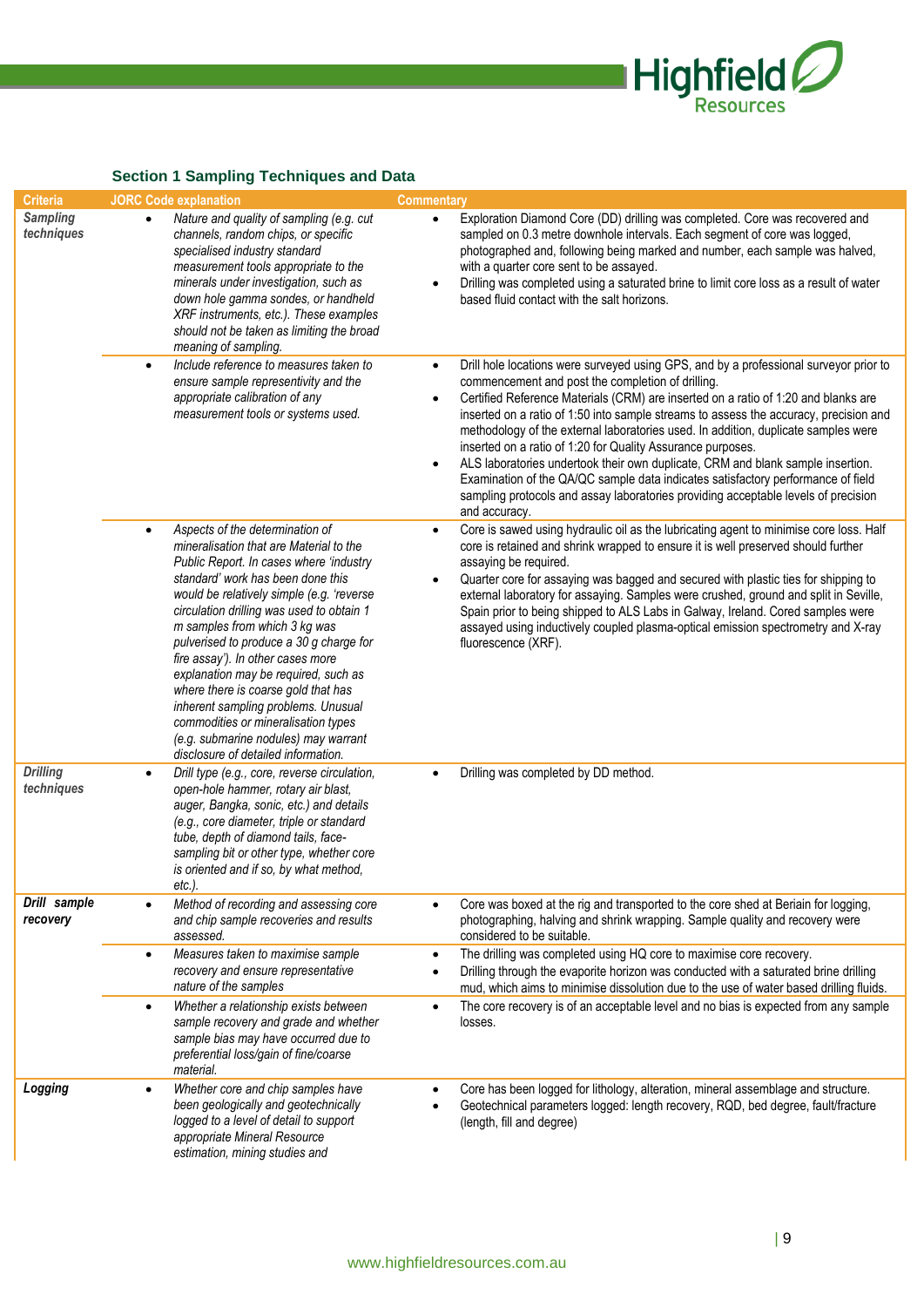

# **Section 1 Sampling Techniques and Data**

|                                    | <b>Occilon</b> Poditipling recrimques and Data                                                                                                                                                                                                                                                                                                                                                                                                                                                                                                                                                                                 |                                                                                                                                                                                                                                                                                                                                                                                                                                                                                                                                                                                                                                                                                                                                                                                                     |
|------------------------------------|--------------------------------------------------------------------------------------------------------------------------------------------------------------------------------------------------------------------------------------------------------------------------------------------------------------------------------------------------------------------------------------------------------------------------------------------------------------------------------------------------------------------------------------------------------------------------------------------------------------------------------|-----------------------------------------------------------------------------------------------------------------------------------------------------------------------------------------------------------------------------------------------------------------------------------------------------------------------------------------------------------------------------------------------------------------------------------------------------------------------------------------------------------------------------------------------------------------------------------------------------------------------------------------------------------------------------------------------------------------------------------------------------------------------------------------------------|
| <b>Criteria</b><br><b>Sampling</b> | <b>JORC Code explanation</b>                                                                                                                                                                                                                                                                                                                                                                                                                                                                                                                                                                                                   | <b>Commentary</b>                                                                                                                                                                                                                                                                                                                                                                                                                                                                                                                                                                                                                                                                                                                                                                                   |
| techniques                         | Nature and quality of sampling (e.g. cut<br>$\bullet$<br>channels, random chips, or specific<br>specialised industry standard<br>measurement tools appropriate to the<br>minerals under investigation, such as<br>down hole gamma sondes, or handheld<br>XRF instruments, etc.). These examples<br>should not be taken as limiting the broad<br>meaning of sampling.                                                                                                                                                                                                                                                           | Exploration Diamond Core (DD) drilling was completed. Core was recovered and<br>$\bullet$<br>sampled on 0.3 metre downhole intervals. Each segment of core was logged,<br>photographed and, following being marked and number, each sample was halved,<br>with a quarter core sent to be assayed.<br>Drilling was completed using a saturated brine to limit core loss as a result of water<br>$\bullet$<br>based fluid contact with the salt horizons.                                                                                                                                                                                                                                                                                                                                             |
|                                    | Include reference to measures taken to<br>$\bullet$<br>ensure sample representivity and the<br>appropriate calibration of any<br>measurement tools or systems used.                                                                                                                                                                                                                                                                                                                                                                                                                                                            | Drill hole locations were surveyed using GPS, and by a professional surveyor prior to<br>$\bullet$<br>commencement and post the completion of drilling.<br>Certified Reference Materials (CRM) are inserted on a ratio of 1:20 and blanks are<br>$\bullet$<br>inserted on a ratio of 1:50 into sample streams to assess the accuracy, precision and<br>methodology of the external laboratories used. In addition, duplicate samples were<br>inserted on a ratio of 1:20 for Quality Assurance purposes.<br>ALS laboratories undertook their own duplicate, CRM and blank sample insertion.<br>$\bullet$<br>Examination of the QA/QC sample data indicates satisfactory performance of field<br>sampling protocols and assay laboratories providing acceptable levels of precision<br>and accuracy. |
|                                    | Aspects of the determination of<br>$\bullet$<br>mineralisation that are Material to the<br>Public Report. In cases where 'industry<br>standard' work has been done this<br>would be relatively simple (e.g. 'reverse<br>circulation drilling was used to obtain 1<br>m samples from which 3 kg was<br>pulverised to produce a 30 g charge for<br>fire assay'). In other cases more<br>explanation may be required, such as<br>where there is coarse gold that has<br>inherent sampling problems. Unusual<br>commodities or mineralisation types<br>(e.g. submarine nodules) may warrant<br>disclosure of detailed information. | Core is sawed using hydraulic oil as the lubricating agent to minimise core loss. Half<br>$\bullet$<br>core is retained and shrink wrapped to ensure it is well preserved should further<br>assaying be required.<br>Quarter core for assaying was bagged and secured with plastic ties for shipping to<br>external laboratory for assaying. Samples were crushed, ground and split in Seville,<br>Spain prior to being shipped to ALS Labs in Galway, Ireland. Cored samples were<br>assayed using inductively coupled plasma-optical emission spectrometry and X-ray<br>fluorescence (XRF).                                                                                                                                                                                                       |
| <b>Drilling</b><br>techniques      | Drill type (e.g., core, reverse circulation,<br>$\bullet$<br>open-hole hammer, rotary air blast,<br>auger, Bangka, sonic, etc.) and details<br>(e.g., core diameter, triple or standard<br>tube, depth of diamond tails, face-<br>sampling bit or other type, whether core<br>is oriented and if so, by what method,<br>etc.).                                                                                                                                                                                                                                                                                                 | Drilling was completed by DD method.                                                                                                                                                                                                                                                                                                                                                                                                                                                                                                                                                                                                                                                                                                                                                                |
| Drill sample<br>recovery           | Method of recording and assessing core<br>$\bullet$<br>and chip sample recoveries and results<br>assessed.                                                                                                                                                                                                                                                                                                                                                                                                                                                                                                                     | Core was boxed at the rig and transported to the core shed at Beriain for logging,<br>$\bullet$<br>photographing, halving and shrink wrapping. Sample quality and recovery were<br>considered to be suitable.                                                                                                                                                                                                                                                                                                                                                                                                                                                                                                                                                                                       |
|                                    | Measures taken to maximise sample<br>$\bullet$<br>recovery and ensure representative<br>nature of the samples                                                                                                                                                                                                                                                                                                                                                                                                                                                                                                                  | The drilling was completed using HQ core to maximise core recovery.<br>$\bullet$<br>Drilling through the evaporite horizon was conducted with a saturated brine drilling<br>$\bullet$<br>mud, which aims to minimise dissolution due to the use of water based drilling fluids.                                                                                                                                                                                                                                                                                                                                                                                                                                                                                                                     |
|                                    | Whether a relationship exists between<br>$\bullet$<br>sample recovery and grade and whether<br>sample bias may have occurred due to<br>preferential loss/gain of fine/coarse<br>material.                                                                                                                                                                                                                                                                                                                                                                                                                                      | The core recovery is of an acceptable level and no bias is expected from any sample<br>$\bullet$<br>losses.                                                                                                                                                                                                                                                                                                                                                                                                                                                                                                                                                                                                                                                                                         |
| Logging                            | Whether core and chip samples have<br>$\bullet$<br>been geologically and geotechnically<br>logged to a level of detail to support<br>appropriate Mineral Resource<br>estimation, mining studies and                                                                                                                                                                                                                                                                                                                                                                                                                            | Core has been logged for lithology, alteration, mineral assemblage and structure.<br>$\bullet$<br>Geotechnical parameters logged: length recovery, RQD, bed degree, fault/fracture<br>(length, fill and degree)                                                                                                                                                                                                                                                                                                                                                                                                                                                                                                                                                                                     |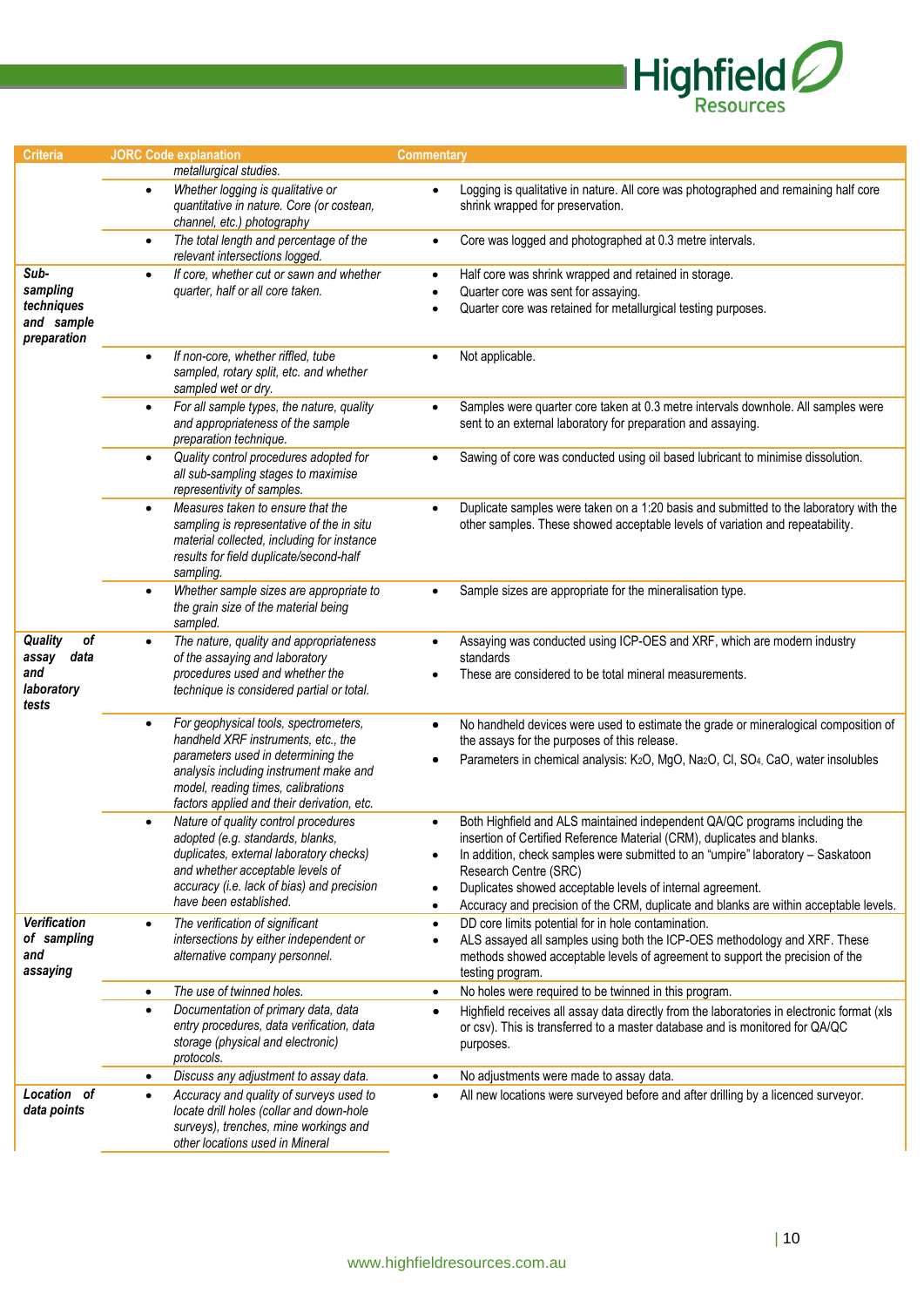

| <b>Criteria</b>                                                     | <b>JORC</b> Code explanation                                                                                                                                                                                                                     | <b>Commentary</b>                                                                                                                                                                                                                                                                                                                                                                                                                                               |  |  |  |  |
|---------------------------------------------------------------------|--------------------------------------------------------------------------------------------------------------------------------------------------------------------------------------------------------------------------------------------------|-----------------------------------------------------------------------------------------------------------------------------------------------------------------------------------------------------------------------------------------------------------------------------------------------------------------------------------------------------------------------------------------------------------------------------------------------------------------|--|--|--|--|
|                                                                     | metallurgical studies.                                                                                                                                                                                                                           |                                                                                                                                                                                                                                                                                                                                                                                                                                                                 |  |  |  |  |
|                                                                     | Whether logging is qualitative or<br>$\bullet$<br>quantitative in nature. Core (or costean,<br>channel, etc.) photography                                                                                                                        | Logging is qualitative in nature. All core was photographed and remaining half core<br>shrink wrapped for preservation.                                                                                                                                                                                                                                                                                                                                         |  |  |  |  |
|                                                                     | The total length and percentage of the<br>$\bullet$<br>relevant intersections logged.                                                                                                                                                            | Core was logged and photographed at 0.3 metre intervals.<br>$\bullet$                                                                                                                                                                                                                                                                                                                                                                                           |  |  |  |  |
| Sub-<br>sampling<br>techniques<br>and sample<br>preparation         | If core, whether cut or sawn and whether<br>quarter, half or all core taken.                                                                                                                                                                     | Half core was shrink wrapped and retained in storage.<br>$\bullet$<br>Quarter core was sent for assaying.<br>$\bullet$<br>Quarter core was retained for metallurgical testing purposes.                                                                                                                                                                                                                                                                         |  |  |  |  |
|                                                                     | If non-core, whether riffled, tube<br>$\bullet$<br>sampled, rotary split, etc. and whether<br>sampled wet or dry.                                                                                                                                | Not applicable.<br>$\bullet$                                                                                                                                                                                                                                                                                                                                                                                                                                    |  |  |  |  |
|                                                                     | For all sample types, the nature, quality<br>$\bullet$<br>and appropriateness of the sample<br>preparation technique.                                                                                                                            | Samples were quarter core taken at 0.3 metre intervals downhole. All samples were<br>sent to an external laboratory for preparation and assaying.                                                                                                                                                                                                                                                                                                               |  |  |  |  |
|                                                                     | Quality control procedures adopted for<br>$\bullet$<br>all sub-sampling stages to maximise<br>representivity of samples.                                                                                                                         | Sawing of core was conducted using oil based lubricant to minimise dissolution.<br>$\bullet$                                                                                                                                                                                                                                                                                                                                                                    |  |  |  |  |
|                                                                     | Measures taken to ensure that the<br>sampling is representative of the in situ<br>material collected, including for instance<br>results for field duplicate/second-half<br>sampling.                                                             | Duplicate samples were taken on a 1:20 basis and submitted to the laboratory with the<br>other samples. These showed acceptable levels of variation and repeatability.                                                                                                                                                                                                                                                                                          |  |  |  |  |
|                                                                     | Whether sample sizes are appropriate to<br>$\bullet$<br>the grain size of the material being<br>sampled.                                                                                                                                         | Sample sizes are appropriate for the mineralisation type.                                                                                                                                                                                                                                                                                                                                                                                                       |  |  |  |  |
| <b>Quality</b><br>of<br>data<br>assay<br>and<br>laboratory<br>tests | The nature, quality and appropriateness<br>of the assaying and laboratory<br>procedures used and whether the<br>technique is considered partial or total.                                                                                        | Assaying was conducted using ICP-OES and XRF, which are modern industry<br>standards<br>These are considered to be total mineral measurements.                                                                                                                                                                                                                                                                                                                  |  |  |  |  |
|                                                                     | For geophysical tools, spectrometers,<br>handheld XRF instruments, etc., the<br>parameters used in determining the<br>analysis including instrument make and<br>model, reading times, calibrations<br>factors applied and their derivation, etc. | No handheld devices were used to estimate the grade or mineralogical composition of<br>$\bullet$<br>the assays for the purposes of this release.<br>Parameters in chemical analysis: K <sub>2</sub> O, MgO, Na <sub>2</sub> O, Cl, SO <sub>4,</sub> CaO, water insolubles                                                                                                                                                                                       |  |  |  |  |
|                                                                     | Nature of quality control procedures<br>$\bullet$<br>adopted (e.g. standards, blanks,<br>duplicates, external laboratory checks)<br>and whether acceptable levels of<br>accuracy (i.e. lack of bias) and precision<br>have been established.     | Both Highfield and ALS maintained independent QA/QC programs including the<br>$\bullet$<br>insertion of Certified Reference Material (CRM), duplicates and blanks.<br>In addition, check samples were submitted to an "umpire" laboratory - Saskatoon<br>Research Centre (SRC)<br>Duplicates showed acceptable levels of internal agreement.<br>$\bullet$<br>Accuracy and precision of the CRM, duplicate and blanks are within acceptable levels.<br>$\bullet$ |  |  |  |  |
| <b>Verification</b><br>of sampling<br>and<br>assaying               | The verification of significant<br>$\bullet$<br>intersections by either independent or<br>alternative company personnel.                                                                                                                         | DD core limits potential for in hole contamination.<br>$\bullet$<br>ALS assayed all samples using both the ICP-OES methodology and XRF. These<br>$\bullet$<br>methods showed acceptable levels of agreement to support the precision of the<br>testing program.                                                                                                                                                                                                 |  |  |  |  |
|                                                                     | The use of twinned holes.<br>$\bullet$                                                                                                                                                                                                           | No holes were required to be twinned in this program.<br>$\bullet$                                                                                                                                                                                                                                                                                                                                                                                              |  |  |  |  |
|                                                                     | Documentation of primary data, data<br>$\bullet$<br>entry procedures, data verification, data<br>storage (physical and electronic)<br>protocols.                                                                                                 | Highfield receives all assay data directly from the laboratories in electronic format (xls<br>$\bullet$<br>or csv). This is transferred to a master database and is monitored for QA/QC<br>purposes.                                                                                                                                                                                                                                                            |  |  |  |  |
|                                                                     | Discuss any adjustment to assay data.<br>$\bullet$                                                                                                                                                                                               | No adjustments were made to assay data.<br>$\bullet$                                                                                                                                                                                                                                                                                                                                                                                                            |  |  |  |  |
| Location of<br>data points                                          | Accuracy and quality of surveys used to<br>$\bullet$<br>locate drill holes (collar and down-hole<br>surveys), trenches, mine workings and<br>other locations used in Mineral                                                                     | All new locations were surveyed before and after drilling by a licenced surveyor.                                                                                                                                                                                                                                                                                                                                                                               |  |  |  |  |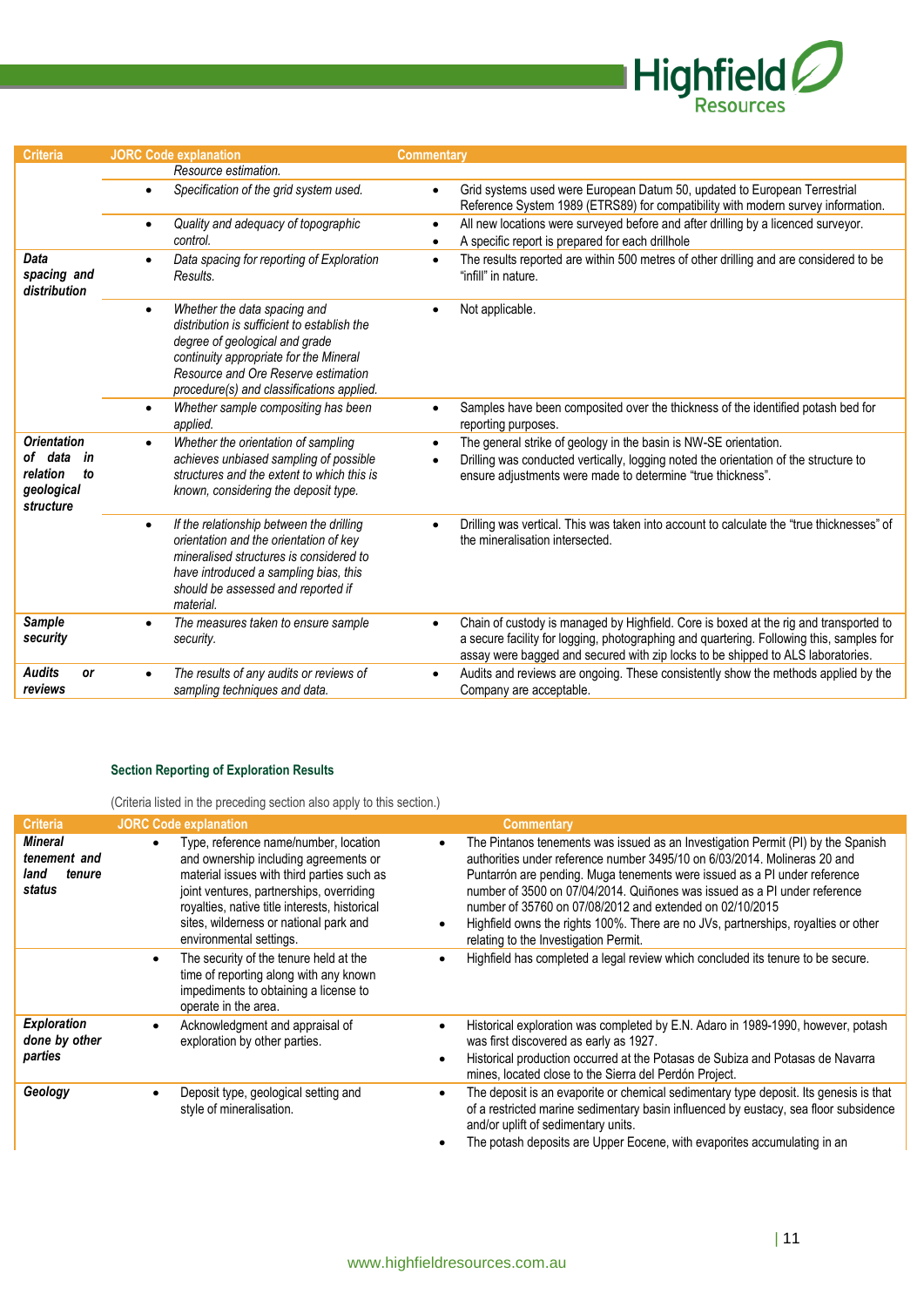

| <b>Criteria</b>                                                                  | <b>JORC Code explanation</b>                                                                                                                                                                                                                             | Commentary                                                                                                                                                                                                                                                           |
|----------------------------------------------------------------------------------|----------------------------------------------------------------------------------------------------------------------------------------------------------------------------------------------------------------------------------------------------------|----------------------------------------------------------------------------------------------------------------------------------------------------------------------------------------------------------------------------------------------------------------------|
|                                                                                  | Resource estimation.                                                                                                                                                                                                                                     |                                                                                                                                                                                                                                                                      |
|                                                                                  | Specification of the grid system used.<br>$\bullet$                                                                                                                                                                                                      | Grid systems used were European Datum 50, updated to European Terrestrial<br>$\bullet$<br>Reference System 1989 (ETRS89) for compatibility with modern survey information.                                                                                           |
|                                                                                  | Quality and adequacy of topographic<br>$\bullet$<br>control.                                                                                                                                                                                             | All new locations were surveyed before and after drilling by a licenced surveyor.<br>$\bullet$<br>A specific report is prepared for each drillhole                                                                                                                   |
| Data<br>spacing and<br>distribution                                              | Data spacing for reporting of Exploration<br>Results.                                                                                                                                                                                                    | The results reported are within 500 metres of other drilling and are considered to be<br>$\bullet$<br>"infill" in nature.                                                                                                                                            |
|                                                                                  | Whether the data spacing and<br>$\bullet$<br>distribution is sufficient to establish the<br>degree of geological and grade<br>continuity appropriate for the Mineral<br>Resource and Ore Reserve estimation<br>procedure(s) and classifications applied. | Not applicable.                                                                                                                                                                                                                                                      |
|                                                                                  | Whether sample compositing has been<br>$\bullet$<br>applied.                                                                                                                                                                                             | Samples have been composited over the thickness of the identified potash bed for<br>reporting purposes.                                                                                                                                                              |
| <b>Orientation</b><br>of data<br>in<br>relation<br>to<br>geological<br>structure | Whether the orientation of sampling<br>$\bullet$<br>achieves unbiased sampling of possible<br>structures and the extent to which this is<br>known, considering the deposit type.                                                                         | The general strike of geology in the basin is NW-SE orientation.<br>$\bullet$<br>Drilling was conducted vertically, logging noted the orientation of the structure to<br>ensure adjustments were made to determine "true thickness".                                 |
|                                                                                  | If the relationship between the drilling<br>$\bullet$<br>orientation and the orientation of key<br>mineralised structures is considered to<br>have introduced a sampling bias, this<br>should be assessed and reported if<br>material                    | Drilling was vertical. This was taken into account to calculate the "true thicknesses" of<br>the mineralisation intersected.                                                                                                                                         |
| Sample<br>security                                                               | The measures taken to ensure sample<br>$\bullet$<br>security.                                                                                                                                                                                            | Chain of custody is managed by Highfield. Core is boxed at the rig and transported to<br>a secure facility for logging, photographing and quartering. Following this, samples for<br>assay were bagged and secured with zip locks to be shipped to ALS laboratories. |
| <b>Audits</b><br>or<br>reviews                                                   | The results of any audits or reviews of<br>sampling techniques and data.                                                                                                                                                                                 | Audits and reviews are ongoing. These consistently show the methods applied by the<br>$\bullet$<br>Company are acceptable.                                                                                                                                           |

#### **Section Reporting of Exploration Results**

(Criteria listed in the preceding section also apply to this section.)

| <b>Criteria</b>                                            | <b>JORC Code explanation</b>                                                                                                                                                                                                                                                                   | <b>Commentary</b>                                                                                                                                                                                                                                                                                                                                                                                                                                                                                                  |
|------------------------------------------------------------|------------------------------------------------------------------------------------------------------------------------------------------------------------------------------------------------------------------------------------------------------------------------------------------------|--------------------------------------------------------------------------------------------------------------------------------------------------------------------------------------------------------------------------------------------------------------------------------------------------------------------------------------------------------------------------------------------------------------------------------------------------------------------------------------------------------------------|
| <b>Mineral</b><br>tenement and<br>land<br>tenure<br>status | Type, reference name/number, location<br>and ownership including agreements or<br>material issues with third parties such as<br>joint ventures, partnerships, overriding<br>royalties, native title interests, historical<br>sites, wilderness or national park and<br>environmental settings. | The Pintanos tenements was issued as an Investigation Permit (PI) by the Spanish<br>authorities under reference number 3495/10 on 6/03/2014. Molineras 20 and<br>Puntarrón are pending. Muga tenements were issued as a PI under reference<br>number of 3500 on 07/04/2014. Quiñones was issued as a PI under reference<br>number of 35760 on 07/08/2012 and extended on 02/10/2015<br>Highfield owns the rights 100%. There are no JVs, partnerships, royalties or other<br>relating to the Investigation Permit. |
|                                                            | The security of the tenure held at the<br>time of reporting along with any known<br>impediments to obtaining a license to<br>operate in the area.                                                                                                                                              | Highfield has completed a legal review which concluded its tenure to be secure.                                                                                                                                                                                                                                                                                                                                                                                                                                    |
| <b>Exploration</b><br>done by other<br>parties             | Acknowledgment and appraisal of<br>exploration by other parties.                                                                                                                                                                                                                               | Historical exploration was completed by E.N. Adaro in 1989-1990, however, potash<br>was first discovered as early as 1927.<br>Historical production occurred at the Potasas de Subiza and Potasas de Navarra<br>mines, located close to the Sierra del Perdón Project.                                                                                                                                                                                                                                             |
| Geology                                                    | Deposit type, geological setting and<br>style of mineralisation.                                                                                                                                                                                                                               | The deposit is an evaporite or chemical sedimentary type deposit. Its genesis is that<br>$\bullet$<br>of a restricted marine sedimentary basin influenced by eustacy, sea floor subsidence<br>and/or uplift of sedimentary units.<br>The potash deposits are Upper Eocene, with evaporites accumulating in an                                                                                                                                                                                                      |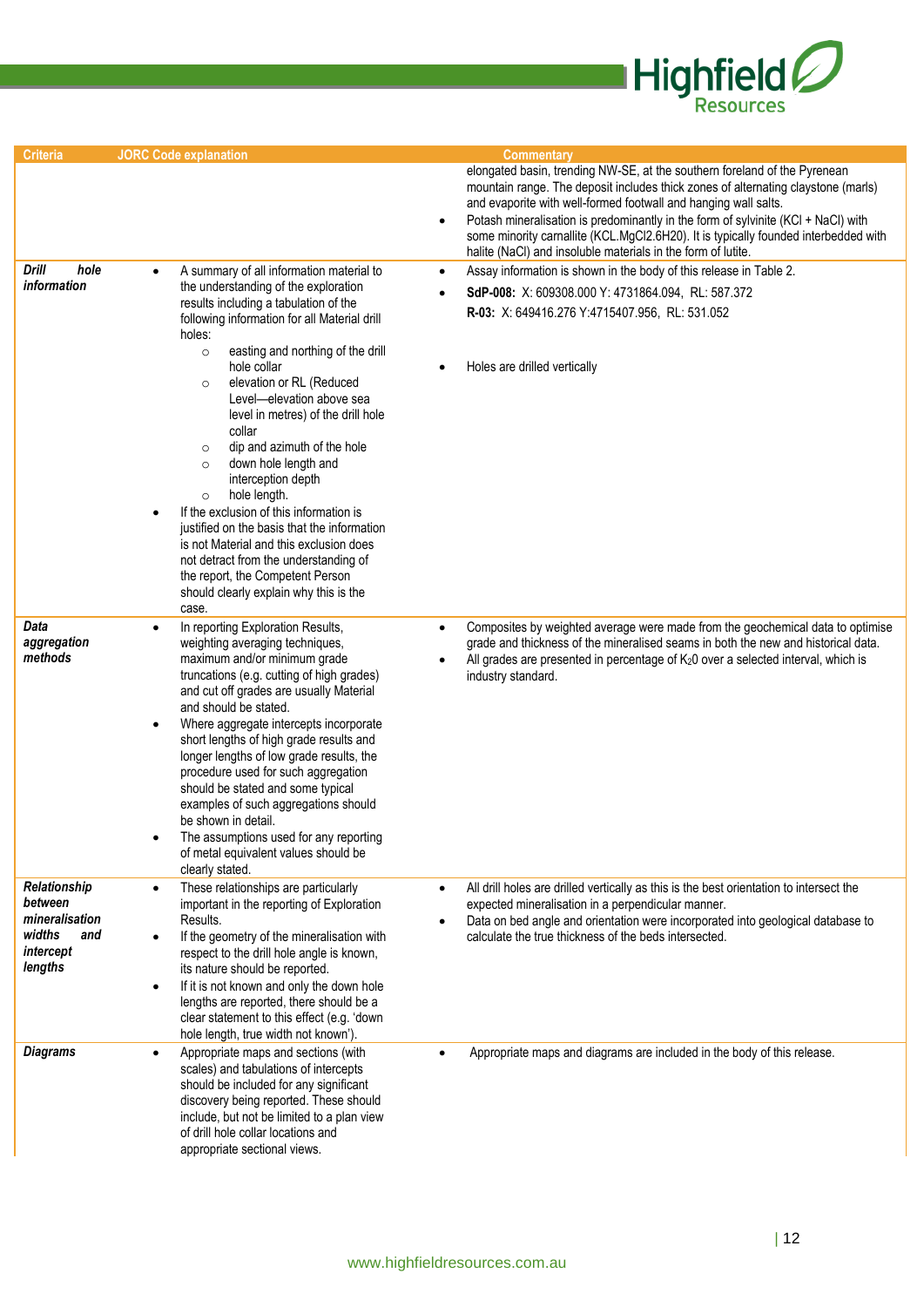

| <b>Criteria</b>                                                                    | <b>JORC Code explanation</b>                                                                                                                                                                                                                                                                                                                                                                                                                                                                                                                                                                                                                                                                               | <b>Commentary</b>                                                                                                                                                                                                                                                                                                                                                                                                                                                                          |
|------------------------------------------------------------------------------------|------------------------------------------------------------------------------------------------------------------------------------------------------------------------------------------------------------------------------------------------------------------------------------------------------------------------------------------------------------------------------------------------------------------------------------------------------------------------------------------------------------------------------------------------------------------------------------------------------------------------------------------------------------------------------------------------------------|--------------------------------------------------------------------------------------------------------------------------------------------------------------------------------------------------------------------------------------------------------------------------------------------------------------------------------------------------------------------------------------------------------------------------------------------------------------------------------------------|
|                                                                                    |                                                                                                                                                                                                                                                                                                                                                                                                                                                                                                                                                                                                                                                                                                            | elongated basin, trending NW-SE, at the southern foreland of the Pyrenean<br>mountain range. The deposit includes thick zones of alternating claystone (marls)<br>and evaporite with well-formed footwall and hanging wall salts.<br>Potash mineralisation is predominantly in the form of sylvinite (KCl + NaCl) with<br>$\bullet$<br>some minority carnallite (KCL.MgCl2.6H20). It is typically founded interbedded with<br>halite (NaCl) and insoluble materials in the form of lutite. |
| Drill<br>hole<br>information                                                       | A summary of all information material to<br>the understanding of the exploration<br>results including a tabulation of the<br>following information for all Material drill<br>holes:<br>easting and northing of the drill<br>$\circ$<br>hole collar<br>elevation or RL (Reduced<br>$\circ$<br>Level-elevation above sea<br>level in metres) of the drill hole<br>collar<br>dip and azimuth of the hole<br>$\circ$<br>down hole length and<br>$\circ$<br>interception depth<br>hole length.<br>$\circ$<br>If the exclusion of this information is<br>justified on the basis that the information<br>is not Material and this exclusion does<br>not detract from the understanding of                         | Assay information is shown in the body of this release in Table 2.<br>$\bullet$<br>SdP-008: X: 609308.000 Y: 4731864.094, RL: 587.372<br>R-03: X: 649416.276 Y:4715407.956, RL: 531.052<br>Holes are drilled vertically                                                                                                                                                                                                                                                                    |
| Data<br>aggregation<br>methods                                                     | the report, the Competent Person<br>should clearly explain why this is the<br>case.<br>In reporting Exploration Results,<br>weighting averaging techniques,<br>maximum and/or minimum grade<br>truncations (e.g. cutting of high grades)<br>and cut off grades are usually Material<br>and should be stated.<br>Where aggregate intercepts incorporate<br>$\bullet$<br>short lengths of high grade results and<br>longer lengths of low grade results, the<br>procedure used for such aggregation<br>should be stated and some typical<br>examples of such aggregations should<br>be shown in detail.<br>The assumptions used for any reporting<br>of metal equivalent values should be<br>clearly stated. | Composites by weighted average were made from the geochemical data to optimise<br>$\bullet$<br>grade and thickness of the mineralised seams in both the new and historical data.<br>All grades are presented in percentage of $K_20$ over a selected interval, which is<br>industry standard.                                                                                                                                                                                              |
| Relationship<br>between<br>mineralisation<br>widths<br>and<br>intercept<br>lengths | These relationships are particularly<br>$\bullet$<br>important in the reporting of Exploration<br>Results.<br>If the geometry of the mineralisation with<br>$\bullet$<br>respect to the drill hole angle is known,<br>its nature should be reported.<br>If it is not known and only the down hole<br>$\bullet$<br>lengths are reported, there should be a<br>clear statement to this effect (e.g. 'down<br>hole length, true width not known').                                                                                                                                                                                                                                                            | All drill holes are drilled vertically as this is the best orientation to intersect the<br>$\bullet$<br>expected mineralisation in a perpendicular manner.<br>Data on bed angle and orientation were incorporated into geological database to<br>calculate the true thickness of the beds intersected.                                                                                                                                                                                     |
| <b>Diagrams</b>                                                                    | Appropriate maps and sections (with<br>$\bullet$<br>scales) and tabulations of intercepts<br>should be included for any significant<br>discovery being reported. These should<br>include, but not be limited to a plan view<br>of drill hole collar locations and<br>appropriate sectional views.                                                                                                                                                                                                                                                                                                                                                                                                          | Appropriate maps and diagrams are included in the body of this release.                                                                                                                                                                                                                                                                                                                                                                                                                    |